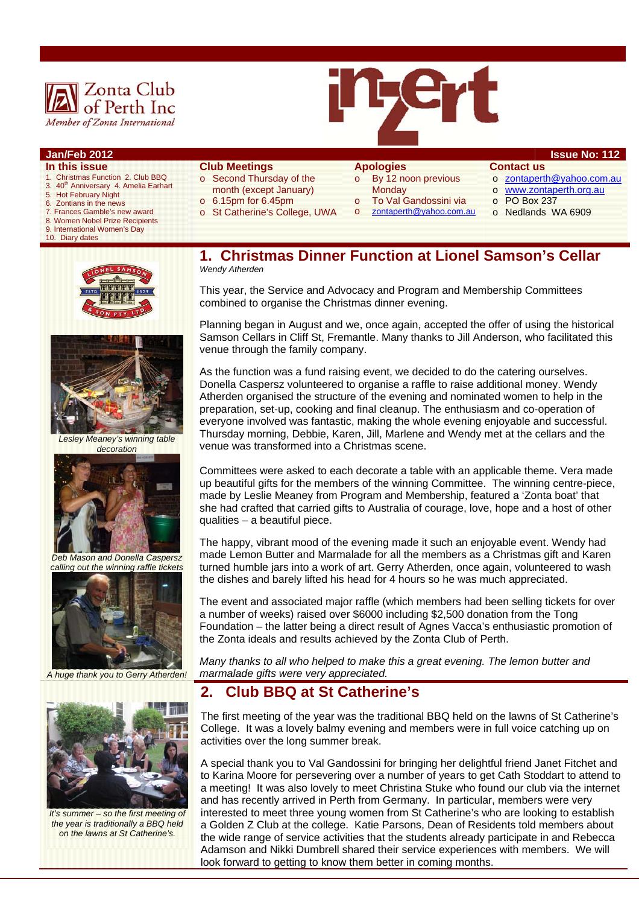



### **Jan/Feb 2012 Issue No: 112**

- **In this issue**
- 1. Christmas Function 2. Club BBQ 3. 40<sup>th</sup> Anniversary 4. Amelia Earhart
- 5. Hot February Night
- 6. Zontians in the news
- 7. Frances Gamble's new award
- 8. Women Nobel Prize Recipients
- 9. International Women's Day
- 10. Diary dates
- **Club Meetings**  o Second Thursday of the
- month (except January)
- $\circ$  6.15pm for 6.45pm
- o St Catherine's College, UWA

# **Apologies**

- o By 12 noon previous **Monday**
- 
- To Val Gandossini via o zontaperth@yahoo.com.au
- o zontaperth@yahoo.com.au o www.zontaperth.org.au
- o PO Box 237

**Contact us** 

o Nedlands WA 6909





*Lesley Meaney's winning table decoration* 



*Deb Mason and Donella Caspersz calling out the winning raffle tickets* 



*A huge thank you to Gerry Atherden!* 



*It's summer – so the first meeting of the year is traditionally a BBQ held on the lawns at St Catherine's.* 

**1. Christmas Dinner Function at Lionel Samson's Cellar**  *Wendy Atherden* 

This year, the Service and Advocacy and Program and Membership Committees combined to organise the Christmas dinner evening.

Planning began in August and we, once again, accepted the offer of using the historical Samson Cellars in Cliff St, Fremantle. Many thanks to Jill Anderson, who facilitated this venue through the family company.

As the function was a fund raising event, we decided to do the catering ourselves. Donella Caspersz volunteered to organise a raffle to raise additional money. Wendy Atherden organised the structure of the evening and nominated women to help in the preparation, set-up, cooking and final cleanup. The enthusiasm and co-operation of everyone involved was fantastic, making the whole evening enjoyable and successful. Thursday morning, Debbie, Karen, Jill, Marlene and Wendy met at the cellars and the venue was transformed into a Christmas scene.

Committees were asked to each decorate a table with an applicable theme. Vera made up beautiful gifts for the members of the winning Committee. The winning centre-piece, made by Leslie Meaney from Program and Membership, featured a 'Zonta boat' that she had crafted that carried gifts to Australia of courage, love, hope and a host of other qualities – a beautiful piece.

The happy, vibrant mood of the evening made it such an enjoyable event. Wendy had made Lemon Butter and Marmalade for all the members as a Christmas gift and Karen turned humble jars into a work of art. Gerry Atherden, once again, volunteered to wash the dishes and barely lifted his head for 4 hours so he was much appreciated.

The event and associated major raffle (which members had been selling tickets for over a number of weeks) raised over \$6000 including \$2,500 donation from the Tong Foundation – the latter being a direct result of Agnes Vacca's enthusiastic promotion of the Zonta ideals and results achieved by the Zonta Club of Perth.

*Many thanks to all who helped to make this a great evening. The lemon butter and marmalade gifts were very appreciated.* 

### **2. Club BBQ at St Catherine's**

The first meeting of the year was the traditional BBQ held on the lawns of St Catherine's College. It was a lovely balmy evening and members were in full voice catching up on activities over the long summer break.

A special thank you to Val Gandossini for bringing her delightful friend Janet Fitchet and to Karina Moore for persevering over a number of years to get Cath Stoddart to attend to a meeting! It was also lovely to meet Christina Stuke who found our club via the internet and has recently arrived in Perth from Germany. In particular, members were very interested to meet three young women from St Catherine's who are looking to establish a Golden Z Club at the college. Katie Parsons, Dean of Residents told members about the wide range of service activities that the students already participate in and Rebecca Adamson and Nikki Dumbrell shared their service experiences with members. We will look forward to getting to know them better in coming months.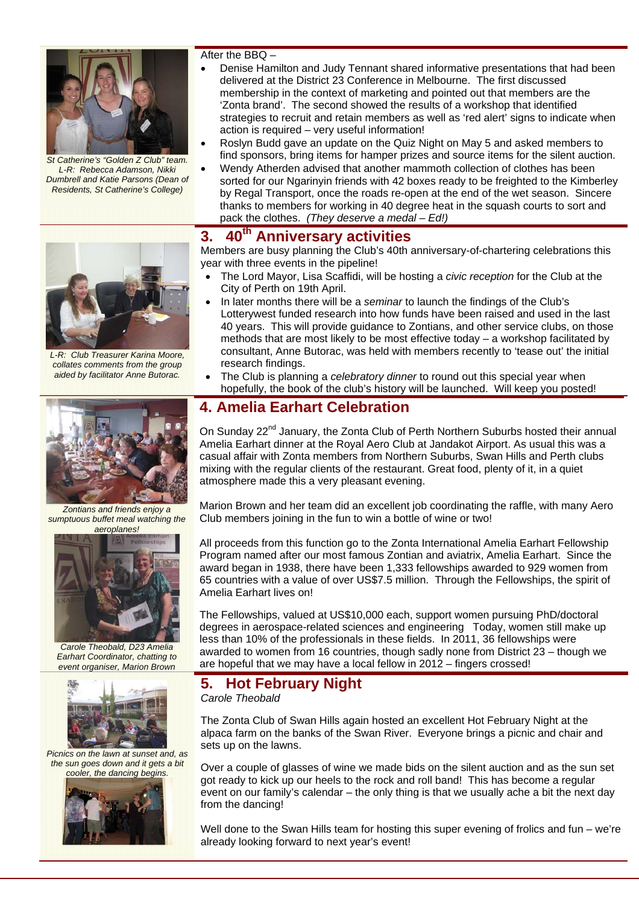

*St Catherine's "Golden Z Club" team. L-R: Rebecca Adamson, Nikki Dumbrell and Katie Parsons (Dean of Residents, St Catherine's College)* 

After the BBQ –

- Denise Hamilton and Judy Tennant shared informative presentations that had been delivered at the District 23 Conference in Melbourne. The first discussed membership in the context of marketing and pointed out that members are the 'Zonta brand'. The second showed the results of a workshop that identified strategies to recruit and retain members as well as 'red alert' signs to indicate when action is required – very useful information!
- Roslyn Budd gave an update on the Quiz Night on May 5 and asked members to find sponsors, bring items for hamper prizes and source items for the silent auction.
- Wendy Atherden advised that another mammoth collection of clothes has been sorted for our Ngarinyin friends with 42 boxes ready to be freighted to the Kimberley by Regal Transport, once the roads re-open at the end of the wet season. Sincere thanks to members for working in 40 degree heat in the squash courts to sort and pack the clothes. *(They deserve a medal – Ed!)*

# **3. 40th Anniversary activities**

Members are busy planning the Club's 40th anniversary-of-chartering celebrations this year with three events in the pipeline!

- The Lord Mayor, Lisa Scaffidi, will be hosting a *civic reception* for the Club at the City of Perth on 19th April.
- In later months there will be a *seminar* to launch the findings of the Club's Lotterywest funded research into how funds have been raised and used in the last 40 years. This will provide guidance to Zontians, and other service clubs, on those methods that are most likely to be most effective today – a workshop facilitated by consultant, Anne Butorac, was held with members recently to 'tease out' the initial research findings.
- The Club is planning a *celebratory dinner* to round out this special year when hopefully, the book of the club's history will be launched. Will keep you posted!

# **4. Amelia Earhart Celebration**

On Sunday 22<sup>nd</sup> January, the Zonta Club of Perth Northern Suburbs hosted their annual Amelia Earhart dinner at the Royal Aero Club at Jandakot Airport. As usual this was a casual affair with Zonta members from Northern Suburbs, Swan Hills and Perth clubs mixing with the regular clients of the restaurant. Great food, plenty of it, in a quiet atmosphere made this a very pleasant evening.

Marion Brown and her team did an excellent job coordinating the raffle, with many Aero Club members joining in the fun to win a bottle of wine or two!

All proceeds from this function go to the Zonta International Amelia Earhart Fellowship Program named after our most famous Zontian and aviatrix, Amelia Earhart. Since the award began in 1938, there have been 1,333 fellowships awarded to 929 women from 65 countries with a value of over US\$7.5 million. Through the Fellowships, the spirit of Amelia Earhart lives on!

The Fellowships, valued at US\$10,000 each, support women pursuing PhD/doctoral degrees in aerospace-related sciences and engineering Today, women still make up less than 10% of the professionals in these fields. In 2011, 36 fellowships were awarded to women from 16 countries, though sadly none from District 23 – though we are hopeful that we may have a local fellow in 2012 – fingers crossed!

## **5. Hot February Night**

*Carole Theobald* 

The Zonta Club of Swan Hills again hosted an excellent Hot February Night at the alpaca farm on the banks of the Swan River. Everyone brings a picnic and chair and sets up on the lawns.

Over a couple of glasses of wine we made bids on the silent auction and as the sun set got ready to kick up our heels to the rock and roll band! This has become a regular event on our family's calendar – the only thing is that we usually ache a bit the next day from the dancing!

Well done to the Swan Hills team for hosting this super evening of frolics and fun – we're already looking forward to next year's event!



*L-R: Club Treasurer Karina Moore, collates comments from the group aided by facilitator Anne Butorac.* 



*Zontians and friends enjoy a sumptuous buffet meal watching the aeroplanes!*



*Carole Theobald, D23 Amelia Earhart Coordinator, chatting to event organiser, Marion Brown* 



*Picnics on the lawn at sunset and, as the sun goes down and it gets a bit cooler, the dancing begins.* 

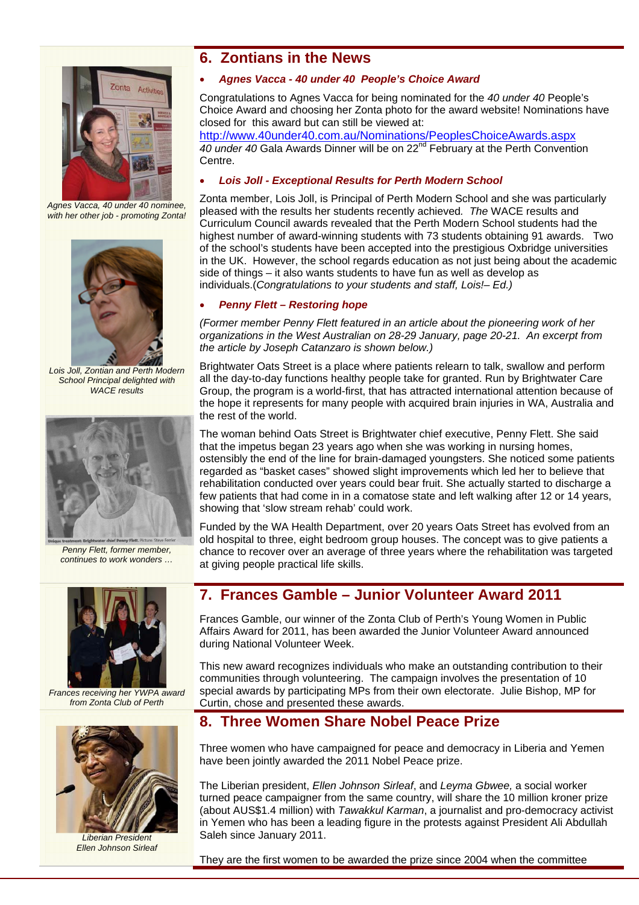

*Agnes Vacca, 40 under 40 nominee, with her other job - promoting Zonta!* 



*Lois Joll, Zontian and Perth Modern School Principal delighted with WACE results* 



*Penny Flett, former member, continues to work wonders …* 



*Frances receiving her YWPA award from Zonta Club of Perth* 



*Liberian President Ellen Johnson Sirleaf* 

# **6. Zontians in the News**

#### *Agnes Vacca - 40 under 40 People's Choice Award*

Congratulations to Agnes Vacca for being nominated for the *40 under 40* People's Choice Award and choosing her Zonta photo for the award website! Nominations have closed for this award but can still be viewed at:

http://www.40under40.com.au/Nominations/PeoplesChoiceAwards.aspx *40 under 40* Gala Awards Dinner will be on 22nd February at the Perth Convention Centre.

#### *Lois Joll - Exceptional Results for Perth Modern School*

Zonta member, Lois Joll, is Principal of Perth Modern School and she was particularly pleased with the results her students recently achieved*. The* WACE results and Curriculum Council awards revealed that the Perth Modern School students had the highest number of award-winning students with 73 students obtaining 91 awards. Two of the school's students have been accepted into the prestigious Oxbridge universities in the UK. However, the school regards education as not just being about the academic side of things – it also wants students to have fun as well as develop as individuals.(*Congratulations to your students and staff, Lois!– Ed.)* 

#### *Penny Flett – Restoring hope*

*(Former member Penny Flett featured in an article about the pioneering work of her organizations in the West Australian on 28-29 January, page 20-21. An excerpt from the article by Joseph Catanzaro is shown below.)* 

Brightwater Oats Street is a place where patients relearn to talk, swallow and perform all the day-to-day functions healthy people take for granted. Run by Brightwater Care Group, the program is a world-first, that has attracted international attention because of the hope it represents for many people with acquired brain injuries in WA, Australia and the rest of the world.

The woman behind Oats Street is Brightwater chief executive, Penny Flett. She said that the impetus began 23 years ago when she was working in nursing homes, ostensibly the end of the line for brain-damaged youngsters. She noticed some patients regarded as "basket cases" showed slight improvements which led her to believe that rehabilitation conducted over years could bear fruit. She actually started to discharge a few patients that had come in in a comatose state and left walking after 12 or 14 years, showing that 'slow stream rehab' could work.

Funded by the WA Health Department, over 20 years Oats Street has evolved from an old hospital to three, eight bedroom group houses. The concept was to give patients a chance to recover over an average of three years where the rehabilitation was targeted at giving people practical life skills.

## **7. Frances Gamble – Junior Volunteer Award 2011**

Frances Gamble, our winner of the Zonta Club of Perth's Young Women in Public Affairs Award for 2011, has been awarded the Junior Volunteer Award announced during National Volunteer Week.

This new award recognizes individuals who make an outstanding contribution to their communities through volunteering. The campaign involves the presentation of 10 special awards by participating MPs from their own electorate. Julie Bishop, MP for Curtin, chose and presented these awards.

## **8. Three Women Share Nobel Peace Prize**

Three women who have campaigned for peace and democracy in Liberia and Yemen have been jointly awarded the 2011 Nobel Peace prize.

The Liberian president, *Ellen Johnson Sirleaf*, and *Leyma Gbwee,* a social worker turned peace campaigner from the same country, will share the 10 million kroner prize (about AUS\$1.4 million) with *Tawakkul Karman*, a journalist and pro-democracy activist in Yemen who has been a leading figure in the protests against President Ali Abdullah Saleh since January 2011.

They are the first women to be awarded the prize since 2004 when the committee